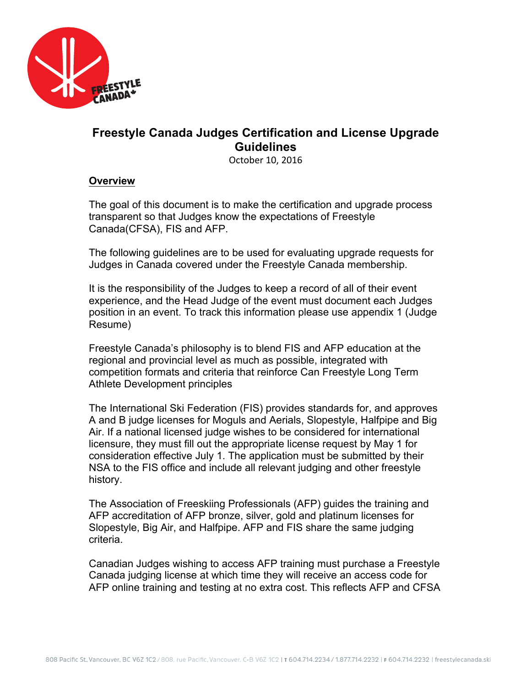

# **Freestyle Canada Judges Certification and License Upgrade Guidelines**

October 10, 2016

#### **Overview**

The goal of this document is to make the certification and upgrade process transparent so that Judges know the expectations of Freestyle Canada(CFSA), FIS and AFP.

The following guidelines are to be used for evaluating upgrade requests for Judges in Canada covered under the Freestyle Canada membership.

It is the responsibility of the Judges to keep a record of all of their event experience, and the Head Judge of the event must document each Judges position in an event. To track this information please use appendix 1 (Judge Resume)

Freestyle Canada's philosophy is to blend FIS and AFP education at the regional and provincial level as much as possible, integrated with competition formats and criteria that reinforce Can Freestyle Long Term Athlete Development principles

The International Ski Federation (FIS) provides standards for, and approves A and B judge licenses for Moguls and Aerials, Slopestyle, Halfpipe and Big Air. If a national licensed judge wishes to be considered for international licensure, they must fill out the appropriate license request by May 1 for consideration effective July 1. The application must be submitted by their NSA to the FIS office and include all relevant judging and other freestyle history.

The Association of Freeskiing Professionals (AFP) guides the training and AFP accreditation of AFP bronze, silver, gold and platinum licenses for Slopestyle, Big Air, and Halfpipe. AFP and FIS share the same judging criteria.

Canadian Judges wishing to access AFP training must purchase a Freestyle Canada judging license at which time they will receive an access code for AFP online training and testing at no extra cost. This reflects AFP and CFSA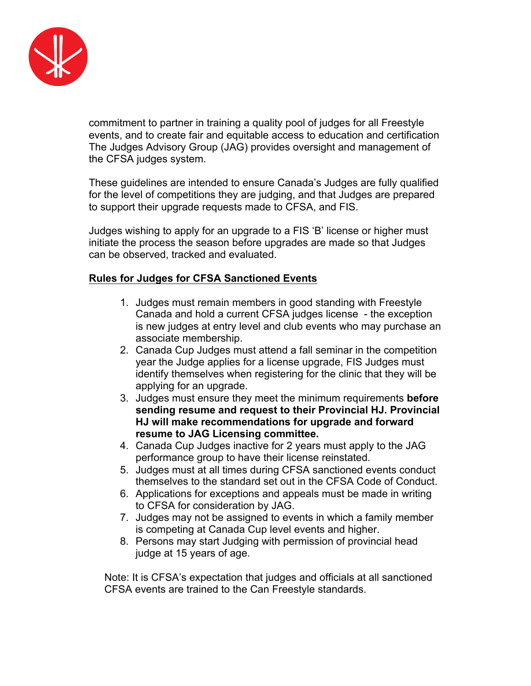

commitment to partner in training a quality pool of judges for all Freestyle events, and to create fair and equitable access to education and certification The Judges Advisory Group (JAG) provides oversight and management of the CFSA judges system.

These guidelines are intended to ensure Canada's Judges are fully qualified for the level of competitions they are judging, and that Judges are prepared to support their upgrade requests made to CFSA, and FIS.

Judges wishing to apply for an upgrade to a FIS 'B' license or higher must initiate the process the season before upgrades are made so that Judges can be observed, tracked and evaluated.

### **Rules for Judges for CFSA Sanctioned Events**

- 1. Judges must remain members in good standing with Freestyle Canada and hold a current CFSA judges license - the exception is new judges at entry level and club events who may purchase an associate membership.
- 2. Canada Cup Judges must attend a fall seminar in the competition year the Judge applies for a license upgrade, FIS Judges must identify themselves when registering for the clinic that they will be applying for an upgrade.
- 3. Judges must ensure they meet the minimum requirements **before sending resume and request to their Provincial HJ. Provincial HJ will make recommendations for upgrade and forward resume to JAG Licensing committee.**
- 4. Canada Cup Judges inactive for 2 years must apply to the JAG performance group to have their license reinstated.
- 5. Judges must at all times during CFSA sanctioned events conduct themselves to the standard set out in the CFSA Code of Conduct.
- 6. Applications for exceptions and appeals must be made in writing to CFSA for consideration by JAG.
- 7. Judges may not be assigned to events in which a family member is competing at Canada Cup level events and higher.
- 8. Persons may start Judging with permission of provincial head judge at 15 years of age.

Note: It is CFSA's expectation that judges and officials at all sanctioned CFSA events are trained to the Can Freestyle standards.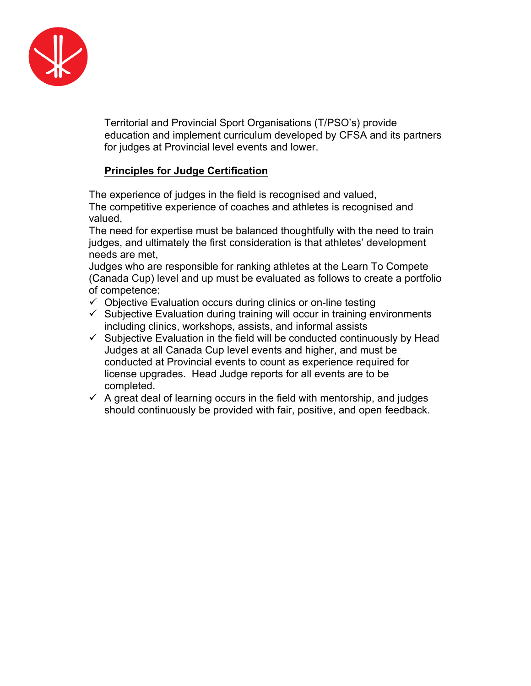

Territorial and Provincial Sport Organisations (T/PSO's) provide education and implement curriculum developed by CFSA and its partners for judges at Provincial level events and lower.

### **Principles for Judge Certification**

The experience of judges in the field is recognised and valued, The competitive experience of coaches and athletes is recognised and valued,

The need for expertise must be balanced thoughtfully with the need to train judges, and ultimately the first consideration is that athletes' development needs are met,

Judges who are responsible for ranking athletes at the Learn To Compete (Canada Cup) level and up must be evaluated as follows to create a portfolio of competence:

- $\checkmark$  Objective Evaluation occurs during clinics or on-line testing
- $\checkmark$  Subjective Evaluation during training will occur in training environments including clinics, workshops, assists, and informal assists
- $\checkmark$  Subjective Evaluation in the field will be conducted continuously by Head Judges at all Canada Cup level events and higher, and must be conducted at Provincial events to count as experience required for license upgrades. Head Judge reports for all events are to be completed.
- $\checkmark$  A great deal of learning occurs in the field with mentorship, and judges should continuously be provided with fair, positive, and open feedback.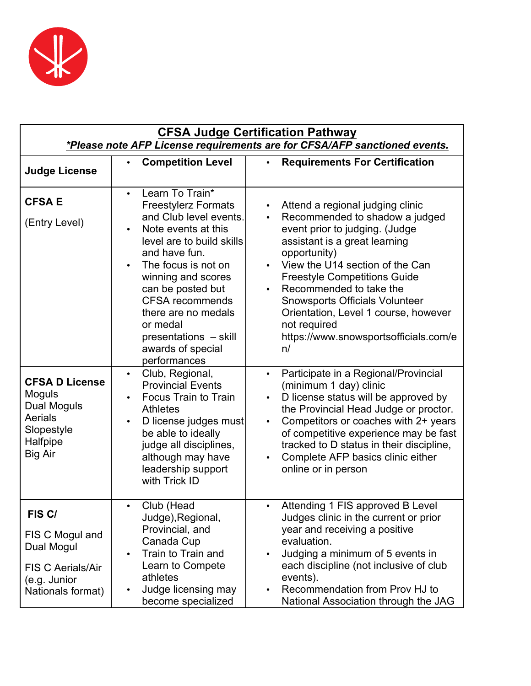

| <b>CFSA Judge Certification Pathway</b><br>*Please note AFP License requirements are for CFSA/AFP sanctioned events. |                                                                                                                                                                                                                                                                                                                                                        |                                                                                                                                                                                                                                                                                                                                                                                                                                      |  |  |  |  |  |  |  |  |
|----------------------------------------------------------------------------------------------------------------------|--------------------------------------------------------------------------------------------------------------------------------------------------------------------------------------------------------------------------------------------------------------------------------------------------------------------------------------------------------|--------------------------------------------------------------------------------------------------------------------------------------------------------------------------------------------------------------------------------------------------------------------------------------------------------------------------------------------------------------------------------------------------------------------------------------|--|--|--|--|--|--|--|--|
| <b>Judge License</b>                                                                                                 | <b>Competition Level</b><br>$\bullet$                                                                                                                                                                                                                                                                                                                  | <b>Requirements For Certification</b><br>$\bullet$                                                                                                                                                                                                                                                                                                                                                                                   |  |  |  |  |  |  |  |  |
| <b>CFSA E</b><br>(Entry Level)                                                                                       | Learn To Train*<br>$\bullet$<br><b>Freestylerz Formats</b><br>and Club level events.<br>Note events at this<br>level are to build skills<br>and have fun.<br>The focus is not on<br>winning and scores<br>can be posted but<br><b>CFSA recommends</b><br>there are no medals<br>or medal<br>presentations - skill<br>awards of special<br>performances | Attend a regional judging clinic<br>$\bullet$<br>Recommended to shadow a judged<br>$\bullet$<br>event prior to judging. (Judge<br>assistant is a great learning<br>opportunity)<br>View the U14 section of the Can<br><b>Freestyle Competitions Guide</b><br>Recommended to take the<br><b>Snowsports Officials Volunteer</b><br>Orientation, Level 1 course, however<br>not required<br>https://www.snowsportsofficials.com/e<br>n/ |  |  |  |  |  |  |  |  |
| <b>CFSA D License</b><br>Moguls<br>Dual Moguls<br>Aerials<br>Slopestyle<br>Halfpipe<br><b>Big Air</b>                | Club, Regional,<br>$\bullet$<br><b>Provincial Events</b><br>Focus Train to Train<br>$\bullet$<br><b>Athletes</b><br>D license judges must<br>$\bullet$<br>be able to ideally<br>judge all disciplines,<br>although may have<br>leadership support<br>with Trick ID                                                                                     | Participate in a Regional/Provincial<br>$\bullet$<br>(minimum 1 day) clinic<br>D license status will be approved by<br>the Provincial Head Judge or proctor.<br>Competitors or coaches with 2+ years<br>$\bullet$<br>of competitive experience may be fast<br>tracked to D status in their discipline,<br>Complete AFP basics clinic either<br>online or in person                                                                   |  |  |  |  |  |  |  |  |
| FIS C/<br>FIS C Mogul and<br>Dual Mogul<br><b>FIS C Aerials/Air</b><br>(e.g. Junior<br>Nationals format)             | Club (Head<br>$\bullet$<br>Judge), Regional,<br>Provincial, and<br>Canada Cup<br>Train to Train and<br>$\bullet$<br>Learn to Compete<br>athletes<br>Judge licensing may<br>$\bullet$<br>become specialized                                                                                                                                             | Attending 1 FIS approved B Level<br>$\bullet$<br>Judges clinic in the current or prior<br>year and receiving a positive<br>evaluation.<br>Judging a minimum of 5 events in<br>$\bullet$<br>each discipline (not inclusive of club<br>events).<br>Recommendation from Prov HJ to<br>$\bullet$<br>National Association through the JAG                                                                                                 |  |  |  |  |  |  |  |  |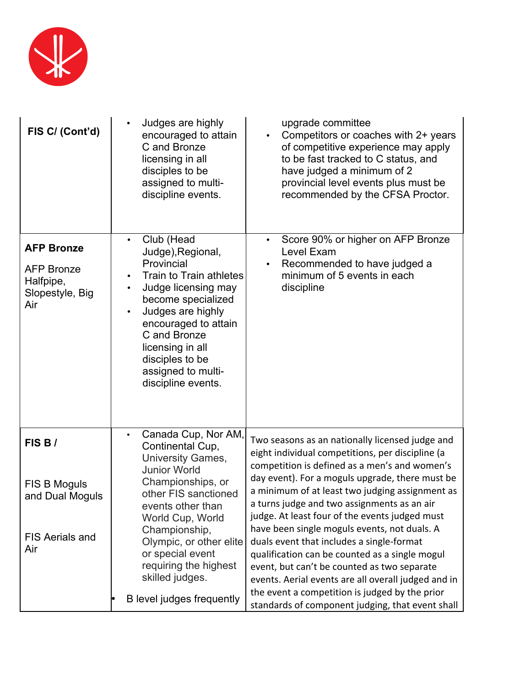

| FIS C/ (Cont'd)                                                               | Judges are highly<br>$\bullet$<br>encouraged to attain<br>C and Bronze<br>licensing in all<br>disciples to be<br>assigned to multi-<br>discipline events.                                                                                                                                       | upgrade committee<br>Competitors or coaches with 2+ years<br>$\bullet$<br>of competitive experience may apply<br>to be fast tracked to C status, and<br>have judged a minimum of 2<br>provincial level events plus must be<br>recommended by the CFSA Proctor.                                                                                                                                              |
|-------------------------------------------------------------------------------|-------------------------------------------------------------------------------------------------------------------------------------------------------------------------------------------------------------------------------------------------------------------------------------------------|-------------------------------------------------------------------------------------------------------------------------------------------------------------------------------------------------------------------------------------------------------------------------------------------------------------------------------------------------------------------------------------------------------------|
| <b>AFP Bronze</b><br><b>AFP Bronze</b><br>Halfpipe,<br>Slopestyle, Big<br>Air | Club (Head<br>$\bullet$<br>Judge), Regional,<br>Provincial<br>Train to Train athletes<br>Judge licensing may<br>become specialized<br>Judges are highly<br>$\bullet$<br>encouraged to attain<br>C and Bronze<br>licensing in all<br>disciples to be<br>assigned to multi-<br>discipline events. | Score 90% or higher on AFP Bronze<br>Level Exam<br>Recommended to have judged a<br>minimum of 5 events in each<br>discipline                                                                                                                                                                                                                                                                                |
| FIS B/<br>FIS B Moguls<br>and Dual Moguls                                     | Canada Cup, Nor AM,<br>$\bullet$<br>Continental Cup,<br><b>University Games,</b><br><b>Junior World</b><br>Championships, or<br>other FIS sanctioned<br>events other than<br>World Cup, World<br>Championship,                                                                                  | Two seasons as an nationally licensed judge and<br>eight individual competitions, per discipline (a<br>competition is defined as a men's and women's<br>day event). For a moguls upgrade, there must be<br>a minimum of at least two judging assignment as<br>a turns judge and two assignments as an air<br>judge. At least four of the events judged must<br>have been single moguls events, not duals. A |
| <b>FIS Aerials and</b><br>Air                                                 | Olympic, or other elite<br>or special event<br>requiring the highest<br>skilled judges.<br>B level judges frequently                                                                                                                                                                            | duals event that includes a single-format<br>qualification can be counted as a single mogul<br>event, but can't be counted as two separate<br>events. Aerial events are all overall judged and in<br>the event a competition is judged by the prior<br>standards of component judging, that event shall                                                                                                     |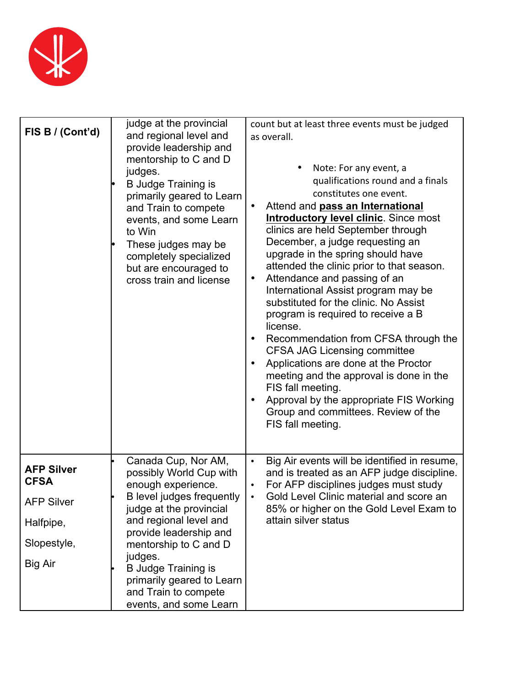

| FIS B / (Cont'd)                                      | judge at the provincial<br>and regional level and<br>provide leadership and<br>mentorship to C and D<br>judges.<br><b>B</b> Judge Training is<br>primarily geared to Learn<br>and Train to compete<br>events, and some Learn<br>to Win<br>These judges may be<br>completely specialized<br>but are encouraged to<br>cross train and license | count but at least three events must be judged<br>as overall.<br>Note: For any event, a<br>qualifications round and a finals<br>constitutes one event.<br>Attend and pass an International<br>$\bullet$<br>Introductory level clinic. Since most<br>clinics are held September through<br>December, a judge requesting an<br>upgrade in the spring should have<br>attended the clinic prior to that season.<br>Attendance and passing of an<br>$\bullet$<br>International Assist program may be<br>substituted for the clinic. No Assist<br>program is required to receive a B<br>license.<br>Recommendation from CFSA through the<br>$\bullet$<br><b>CFSA JAG Licensing committee</b><br>Applications are done at the Proctor<br>$\bullet$<br>meeting and the approval is done in the<br>FIS fall meeting.<br>Approval by the appropriate FIS Working<br>Group and committees. Review of the<br>FIS fall meeting. |
|-------------------------------------------------------|---------------------------------------------------------------------------------------------------------------------------------------------------------------------------------------------------------------------------------------------------------------------------------------------------------------------------------------------|--------------------------------------------------------------------------------------------------------------------------------------------------------------------------------------------------------------------------------------------------------------------------------------------------------------------------------------------------------------------------------------------------------------------------------------------------------------------------------------------------------------------------------------------------------------------------------------------------------------------------------------------------------------------------------------------------------------------------------------------------------------------------------------------------------------------------------------------------------------------------------------------------------------------|
| <b>AFP Silver</b><br><b>CFSA</b><br><b>AFP Silver</b> | Canada Cup, Nor AM,<br>possibly World Cup with<br>enough experience.<br>B level judges frequently                                                                                                                                                                                                                                           | Big Air events will be identified in resume,<br>$\bullet$<br>and is treated as an AFP judge discipline.<br>For AFP disciplines judges must study<br>Gold Level Clinic material and score an<br>$\bullet$                                                                                                                                                                                                                                                                                                                                                                                                                                                                                                                                                                                                                                                                                                           |
| Halfpipe,                                             | judge at the provincial<br>and regional level and                                                                                                                                                                                                                                                                                           | 85% or higher on the Gold Level Exam to<br>attain silver status                                                                                                                                                                                                                                                                                                                                                                                                                                                                                                                                                                                                                                                                                                                                                                                                                                                    |
| Slopestyle,                                           | provide leadership and<br>mentorship to C and D                                                                                                                                                                                                                                                                                             |                                                                                                                                                                                                                                                                                                                                                                                                                                                                                                                                                                                                                                                                                                                                                                                                                                                                                                                    |
| Big Air                                               | judges.<br><b>B Judge Training is</b><br>primarily geared to Learn<br>and Train to compete<br>events, and some Learn                                                                                                                                                                                                                        |                                                                                                                                                                                                                                                                                                                                                                                                                                                                                                                                                                                                                                                                                                                                                                                                                                                                                                                    |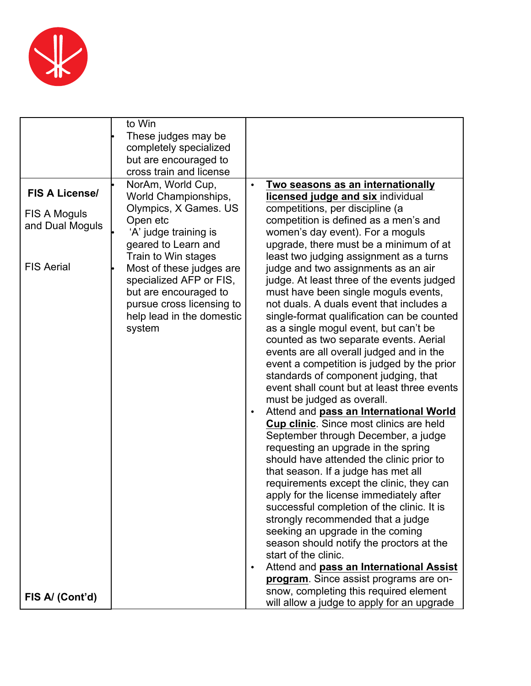

|                       | to Win<br>These judges may be                       |                                                                                   |
|-----------------------|-----------------------------------------------------|-----------------------------------------------------------------------------------|
|                       | completely specialized                              |                                                                                   |
|                       | but are encouraged to                               |                                                                                   |
|                       | cross train and license                             |                                                                                   |
|                       | NorAm, World Cup,                                   | Two seasons as an internationally                                                 |
| <b>FIS A License/</b> | World Championships,                                | licensed judge and six individual                                                 |
| FIS A Moguls          | Olympics, X Games. US                               | competitions, per discipline (a                                                   |
| and Dual Moguls       | Open etc                                            | competition is defined as a men's and                                             |
|                       | 'A' judge training is                               | women's day event). For a moguls                                                  |
|                       | geared to Learn and                                 | upgrade, there must be a minimum of at                                            |
| <b>FIS Aerial</b>     | Train to Win stages                                 | least two judging assignment as a turns                                           |
|                       | Most of these judges are<br>specialized AFP or FIS, | judge and two assignments as an air<br>judge. At least three of the events judged |
|                       | but are encouraged to                               | must have been single moguls events,                                              |
|                       | pursue cross licensing to                           | not duals. A duals event that includes a                                          |
|                       | help lead in the domestic                           | single-format qualification can be counted                                        |
|                       | system                                              | as a single mogul event, but can't be                                             |
|                       |                                                     | counted as two separate events. Aerial                                            |
|                       |                                                     | events are all overall judged and in the                                          |
|                       |                                                     | event a competition is judged by the prior                                        |
|                       |                                                     | standards of component judging, that                                              |
|                       |                                                     | event shall count but at least three events                                       |
|                       |                                                     | must be judged as overall.<br>Attend and pass an International World<br>٠         |
|                       |                                                     | <b>Cup clinic.</b> Since most clinics are held                                    |
|                       |                                                     | September through December, a judge                                               |
|                       |                                                     | requesting an upgrade in the spring                                               |
|                       |                                                     | should have attended the clinic prior to                                          |
|                       |                                                     | that season. If a judge has met all                                               |
|                       |                                                     | requirements except the clinic, they can                                          |
|                       |                                                     | apply for the license immediately after                                           |
|                       |                                                     | successful completion of the clinic. It is                                        |
|                       |                                                     | strongly recommended that a judge                                                 |
|                       |                                                     | seeking an upgrade in the coming<br>season should notify the proctors at the      |
|                       |                                                     | start of the clinic.                                                              |
|                       |                                                     | Attend and pass an International Assist                                           |
|                       |                                                     | program. Since assist programs are on-                                            |
|                       |                                                     | snow, completing this required element                                            |
| FIS A/ (Cont'd)       |                                                     | will allow a judge to apply for an upgrade                                        |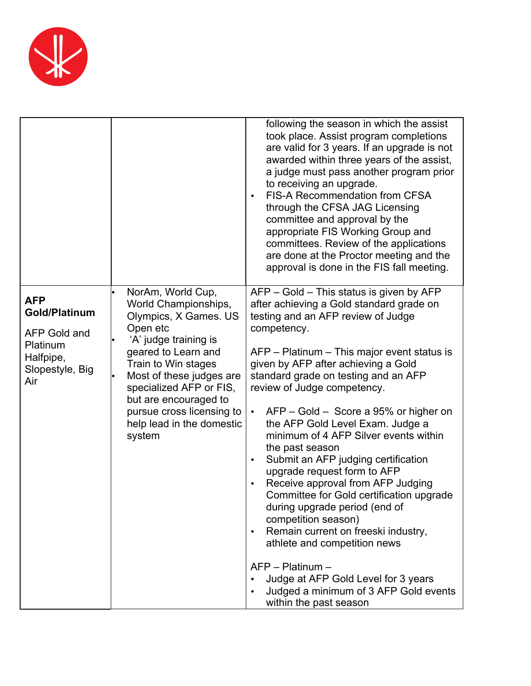

| $\bullet$                                                                                                                                                                                                                                                                                                                                                                                                                                                                                                         | following the season in which the assist<br>took place. Assist program completions<br>are valid for 3 years. If an upgrade is not<br>awarded within three years of the assist,<br>a judge must pass another program prior<br>to receiving an upgrade.<br>FIS-A Recommendation from CFSA<br>through the CFSA JAG Licensing<br>committee and approval by the<br>appropriate FIS Working Group and<br>committees. Review of the applications                                                                                                                                                                                                                                                                                                                                             |
|-------------------------------------------------------------------------------------------------------------------------------------------------------------------------------------------------------------------------------------------------------------------------------------------------------------------------------------------------------------------------------------------------------------------------------------------------------------------------------------------------------------------|---------------------------------------------------------------------------------------------------------------------------------------------------------------------------------------------------------------------------------------------------------------------------------------------------------------------------------------------------------------------------------------------------------------------------------------------------------------------------------------------------------------------------------------------------------------------------------------------------------------------------------------------------------------------------------------------------------------------------------------------------------------------------------------|
|                                                                                                                                                                                                                                                                                                                                                                                                                                                                                                                   | are done at the Proctor meeting and the<br>approval is done in the FIS fall meeting.                                                                                                                                                                                                                                                                                                                                                                                                                                                                                                                                                                                                                                                                                                  |
| NorAm, World Cup,<br><b>AFP</b><br>World Championships,<br>Gold/Platinum<br>Olympics, X Games. US<br>Open etc<br>competency.<br><b>AFP Gold and</b><br>'A' judge training is<br>Platinum<br>geared to Learn and<br>Halfpipe,<br>Train to Win stages<br>Slopestyle, Big<br>Most of these judges are<br>Air<br>specialized AFP or FIS,<br>but are encouraged to<br>pursue cross licensing to<br>$\bullet$<br>help lead in the domestic<br>system<br>the past season<br>$\bullet$<br>$\bullet$<br>$AFP - Platinum -$ | $AFP - Gold - This status is given by AFP$<br>after achieving a Gold standard grade on<br>testing and an AFP review of Judge<br>AFP – Platinum – This major event status is<br>given by AFP after achieving a Gold<br>standard grade on testing and an AFP<br>review of Judge competency.<br>AFP – Gold – Score a 95% or higher on<br>the AFP Gold Level Exam. Judge a<br>minimum of 4 AFP Silver events within<br>Submit an AFP judging certification<br>upgrade request form to AFP<br>Receive approval from AFP Judging<br>Committee for Gold certification upgrade<br>during upgrade period (end of<br>competition season)<br>Remain current on freeski industry,<br>athlete and competition news<br>Judge at AFP Gold Level for 3 years<br>Judged a minimum of 3 AFP Gold events |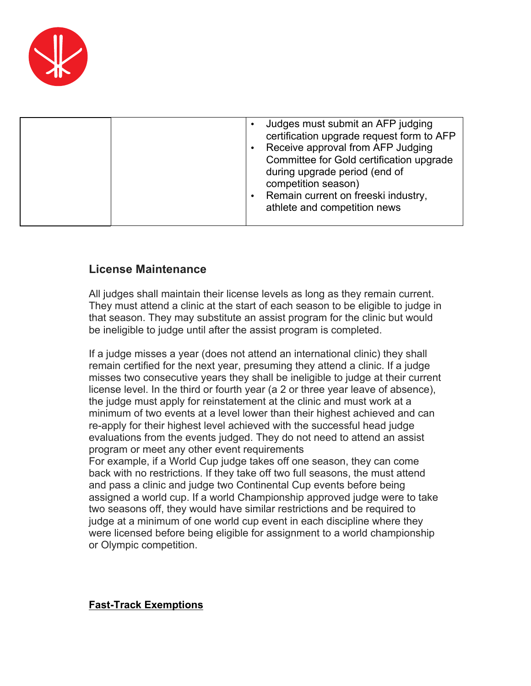

| Judges must submit an AFP judging<br>certification upgrade request form to AFP<br>Receive approval from AFP Judging<br>Committee for Gold certification upgrade<br>during upgrade period (end of<br>competition season)<br>Remain current on freeski industry,<br>athlete and competition news |
|------------------------------------------------------------------------------------------------------------------------------------------------------------------------------------------------------------------------------------------------------------------------------------------------|
|                                                                                                                                                                                                                                                                                                |

# **License Maintenance**

All judges shall maintain their license levels as long as they remain current. They must attend a clinic at the start of each season to be eligible to judge in that season. They may substitute an assist program for the clinic but would be ineligible to judge until after the assist program is completed.

If a judge misses a year (does not attend an international clinic) they shall remain certified for the next year, presuming they attend a clinic. If a judge misses two consecutive years they shall be ineligible to judge at their current license level. In the third or fourth year (a 2 or three year leave of absence), the judge must apply for reinstatement at the clinic and must work at a minimum of two events at a level lower than their highest achieved and can re-apply for their highest level achieved with the successful head judge evaluations from the events judged. They do not need to attend an assist program or meet any other event requirements For example, if a World Cup judge takes off one season, they can come back with no restrictions. If they take off two full seasons, the must attend and pass a clinic and judge two Continental Cup events before being assigned a world cup. If a world Championship approved judge were to take two seasons off, they would have similar restrictions and be required to judge at a minimum of one world cup event in each discipline where they were licensed before being eligible for assignment to a world championship or Olympic competition.

#### **Fast-Track Exemptions**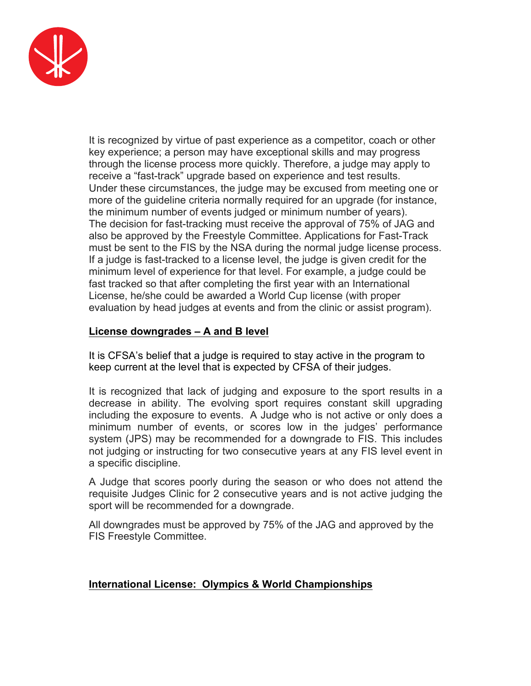

It is recognized by virtue of past experience as a competitor, coach or other key experience; a person may have exceptional skills and may progress through the license process more quickly. Therefore, a judge may apply to receive a "fast-track" upgrade based on experience and test results. Under these circumstances, the judge may be excused from meeting one or more of the guideline criteria normally required for an upgrade (for instance, the minimum number of events judged or minimum number of years). The decision for fast-tracking must receive the approval of 75% of JAG and also be approved by the Freestyle Committee. Applications for Fast-Track must be sent to the FIS by the NSA during the normal judge license process. If a judge is fast-tracked to a license level, the judge is given credit for the minimum level of experience for that level. For example, a judge could be fast tracked so that after completing the first year with an International License, he/she could be awarded a World Cup license (with proper evaluation by head judges at events and from the clinic or assist program).

### **License downgrades – A and B level**

It is CFSA's belief that a judge is required to stay active in the program to keep current at the level that is expected by CFSA of their judges.

It is recognized that lack of judging and exposure to the sport results in a decrease in ability. The evolving sport requires constant skill upgrading including the exposure to events. A Judge who is not active or only does a minimum number of events, or scores low in the judges' performance system (JPS) may be recommended for a downgrade to FIS. This includes not judging or instructing for two consecutive years at any FIS level event in a specific discipline.

A Judge that scores poorly during the season or who does not attend the requisite Judges Clinic for 2 consecutive years and is not active judging the sport will be recommended for a downgrade.

All downgrades must be approved by 75% of the JAG and approved by the FIS Freestyle Committee.

#### **International License: Olympics & World Championships**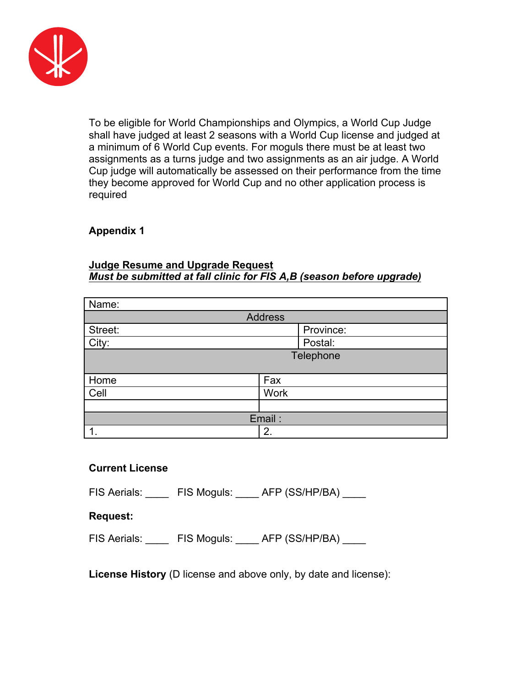

To be eligible for World Championships and Olympics, a World Cup Judge shall have judged at least 2 seasons with a World Cup license and judged at a minimum of 6 World Cup events. For moguls there must be at least two assignments as a turns judge and two assignments as an air judge. A World Cup judge will automatically be assessed on their performance from the time they become approved for World Cup and no other application process is required

#### **Appendix 1**

#### **Judge Resume and Upgrade Request**  *Must be submitted at fall clinic for FIS A,B (season before upgrade)*

| Name:          |             |  |  |  |  |  |  |  |
|----------------|-------------|--|--|--|--|--|--|--|
| <b>Address</b> |             |  |  |  |  |  |  |  |
| Street:        | Province:   |  |  |  |  |  |  |  |
| City:          | Postal:     |  |  |  |  |  |  |  |
| Telephone      |             |  |  |  |  |  |  |  |
|                |             |  |  |  |  |  |  |  |
| Home           | Fax         |  |  |  |  |  |  |  |
| Cell           | <b>Work</b> |  |  |  |  |  |  |  |
|                |             |  |  |  |  |  |  |  |
|                | Email:      |  |  |  |  |  |  |  |
|                | 2.          |  |  |  |  |  |  |  |

#### **Current License**

FIS Aerials: FIS Moguls: AFP (SS/HP/BA)

#### **Request:**

FIS Aerials: FIS Moguls: AFP (SS/HP/BA)

**License History** (D license and above only, by date and license):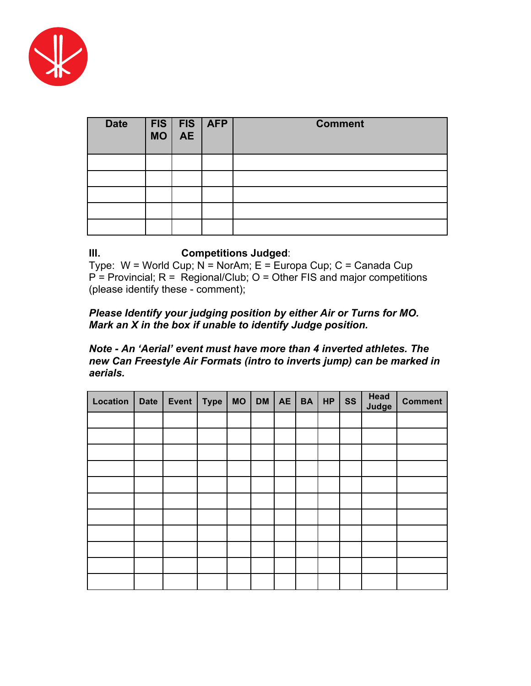

| <b>Date</b> | FIS FIS AFP<br>MO AE | <b>Comment</b> |
|-------------|----------------------|----------------|
|             |                      |                |
|             |                      |                |
|             |                      |                |
|             |                      |                |
|             |                      |                |

# **III. Competitions Judged**:

Type: W = World Cup; N = NorAm; E = Europa Cup; C = Canada Cup  $P =$  Provincial;  $R =$  Regional/Club; O = Other FIS and major competitions (please identify these - comment);

#### *Please Identify your judging position by either Air or Turns for MO. Mark an X in the box if unable to identify Judge position.*

#### *Note - An 'Aerial' event must have more than 4 inverted athletes. The new Can Freestyle Air Formats (intro to inverts jump) can be marked in aerials.*

| Location | <b>Date</b> | Event | <b>Type</b> | <b>MO</b> | <b>DM</b> | AE | <b>BA</b> | <b>HP</b> | <b>SS</b> | <b>Head</b><br>Judge | <b>Comment</b> |
|----------|-------------|-------|-------------|-----------|-----------|----|-----------|-----------|-----------|----------------------|----------------|
|          |             |       |             |           |           |    |           |           |           |                      |                |
|          |             |       |             |           |           |    |           |           |           |                      |                |
|          |             |       |             |           |           |    |           |           |           |                      |                |
|          |             |       |             |           |           |    |           |           |           |                      |                |
|          |             |       |             |           |           |    |           |           |           |                      |                |
|          |             |       |             |           |           |    |           |           |           |                      |                |
|          |             |       |             |           |           |    |           |           |           |                      |                |
|          |             |       |             |           |           |    |           |           |           |                      |                |
|          |             |       |             |           |           |    |           |           |           |                      |                |
|          |             |       |             |           |           |    |           |           |           |                      |                |
|          |             |       |             |           |           |    |           |           |           |                      |                |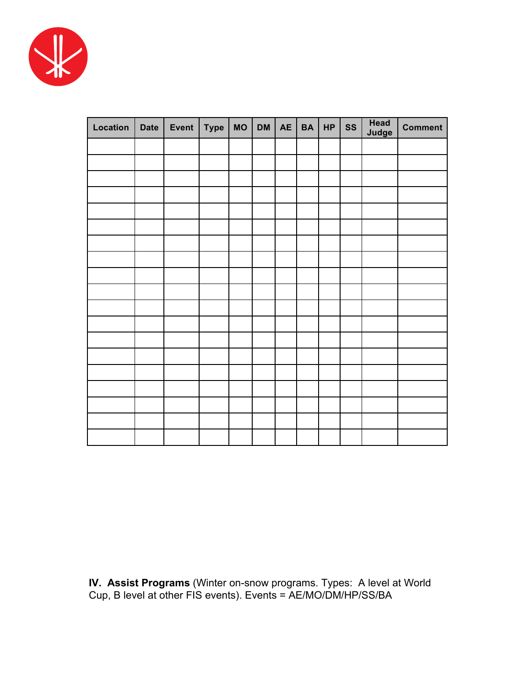

| Location | Date | Event | <b>Type</b> | $MO$ DM | AE BA HP | SS | <b>Head</b><br>Judge | <b>Comment</b> |
|----------|------|-------|-------------|---------|----------|----|----------------------|----------------|
|          |      |       |             |         |          |    |                      |                |
|          |      |       |             |         |          |    |                      |                |
|          |      |       |             |         |          |    |                      |                |
|          |      |       |             |         |          |    |                      |                |
|          |      |       |             |         |          |    |                      |                |
|          |      |       |             |         |          |    |                      |                |
|          |      |       |             |         |          |    |                      |                |
|          |      |       |             |         |          |    |                      |                |
|          |      |       |             |         |          |    |                      |                |
|          |      |       |             |         |          |    |                      |                |
|          |      |       |             |         |          |    |                      |                |
|          |      |       |             |         |          |    |                      |                |
|          |      |       |             |         |          |    |                      |                |
|          |      |       |             |         |          |    |                      |                |
|          |      |       |             |         |          |    |                      |                |
|          |      |       |             |         |          |    |                      |                |
|          |      |       |             |         |          |    |                      |                |
|          |      |       |             |         |          |    |                      |                |
|          |      |       |             |         |          |    |                      |                |

**IV. Assist Programs** (Winter on-snow programs. Types: A level at World Cup, B level at other FIS events). Events = AE/MO/DM/HP/SS/BA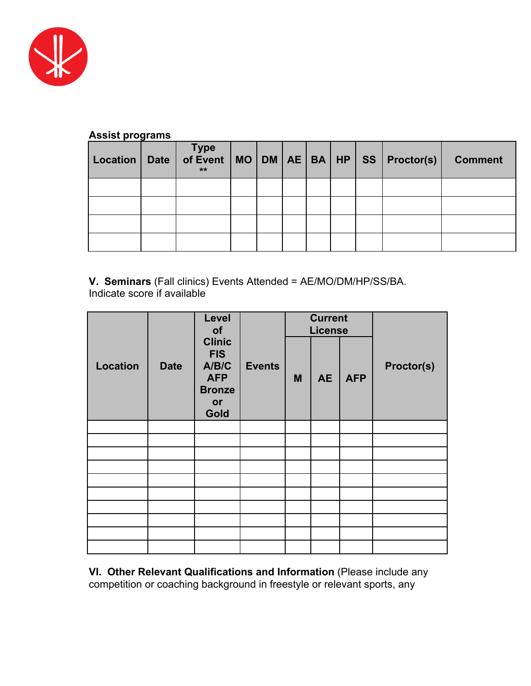

#### **Assist programs**

| Location | ັ<br>Date | $***$ |  |  |  | Type<br>of Event   MO   DM   AE   BA   HP   SS   Proctor(s) | <b>Comment</b> |
|----------|-----------|-------|--|--|--|-------------------------------------------------------------|----------------|
|          |           |       |  |  |  |                                                             |                |
|          |           |       |  |  |  |                                                             |                |
|          |           |       |  |  |  |                                                             |                |
|          |           |       |  |  |  |                                                             |                |

**V. Seminars** (Fall clinics) Events Attended = AE/MO/DM/HP/SS/BA. Indicate score if available

|                 |             | Level<br>of                                                                       |               |   | <b>Current</b><br><b>License</b> |            |            |
|-----------------|-------------|-----------------------------------------------------------------------------------|---------------|---|----------------------------------|------------|------------|
| <b>Location</b> | <b>Date</b> | <b>Clinic</b><br><b>FIS</b><br>A/B/C<br><b>AFP</b><br><b>Bronze</b><br>or<br>Gold | <b>Events</b> | M | <b>AE</b>                        | <b>AFP</b> | Proctor(s) |
|                 |             |                                                                                   |               |   |                                  |            |            |
|                 |             |                                                                                   |               |   |                                  |            |            |
|                 |             |                                                                                   |               |   |                                  |            |            |
|                 |             |                                                                                   |               |   |                                  |            |            |
|                 |             |                                                                                   |               |   |                                  |            |            |
|                 |             |                                                                                   |               |   |                                  |            |            |
|                 |             |                                                                                   |               |   |                                  |            |            |
|                 |             |                                                                                   |               |   |                                  |            |            |
|                 |             |                                                                                   |               |   |                                  |            |            |
|                 |             |                                                                                   |               |   |                                  |            |            |

**VI. Other Relevant Qualifications and Information** (Please include any competition or coaching background in freestyle or relevant sports, any